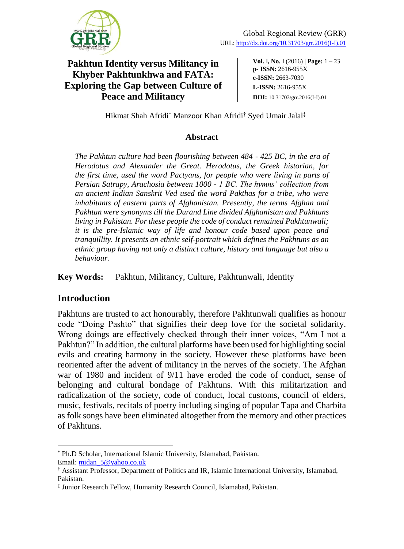

**Vol.** I**, No.** I (2016) | **Page:** 1 ‒ 23 **p- ISSN:** 2616-955X **e-ISSN:** 2663-7030 **L-ISSN:** 2616-955X **DOI:** 10.31703/grr.2016(I-I).01

Hikmat Shah Afridi\* Manzoor Khan Afridi† Syed Umair Jalal‡

#### **Abstract**

*The Pakhtun culture had been flourishing between 484 - 425 BC, in the era of Herodotus and Alexander the Great. Herodotus, the Greek historian, for the first time, used the word Pactyans, for people who were living in parts of Persian Satrapy, Arachosia between 1000 - 1 BC. The hymns' collection from an ancient Indian Sanskrit Ved used the word Pakthas for a tribe, who were inhabitants of eastern parts of Afghanistan. Presently, the terms Afghan and Pakhtun were synonyms till the Durand Line divided Afghanistan and Pakhtuns living in Pakistan. For these people the code of conduct remained Pakhtunwali; it is the pre-Islamic way of life and honour code based upon peace and tranquillity. It presents an ethnic self-portrait which defines the Pakhtuns as an ethnic group having not only a distinct culture, history and language but also a behaviour.*

**Key Words:** Pakhtun, Militancy, Culture, Pakhtunwali, Identity

# **Introduction**

 $\overline{a}$ 

Pakhtuns are trusted to act honourably, therefore Pakhtunwali qualifies as honour code "Doing Pashto" that signifies their deep love for the societal solidarity. Wrong doings are effectively checked through their inner voices, "Am I not a Pakhtun?" In addition, the cultural platforms have been used for highlighting social evils and creating harmony in the society. However these platforms have been reoriented after the advent of militancy in the nerves of the society. The Afghan war of 1980 and incident of 9/11 have eroded the code of conduct, sense of belonging and cultural bondage of Pakhtuns. With this militarization and radicalization of the society, code of conduct, local customs, council of elders, music, festivals, recitals of poetry including singing of popular Tapa and Charbita as folk songs have been eliminated altogether from the memory and other practices of Pakhtuns.

<sup>\*</sup> Ph.D Scholar, International Islamic University, Islamabad, Pakistan. Email: [midan\\_5@yahoo.co.uk](mailto:midan_5@yahoo.co.uk)

<sup>†</sup> Assistant Professor, Department of Politics and IR, Islamic International University, Islamabad, Pakistan.

<sup>‡</sup> Junior Research Fellow, Humanity Research Council, Islamabad, Pakistan.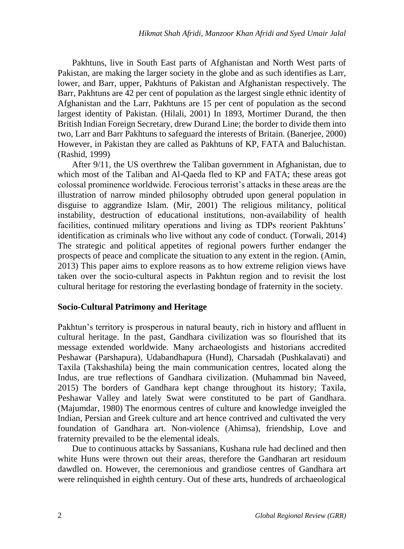Pakhtuns, live in South East parts of Afghanistan and North West parts of Pakistan, are making the larger society in the globe and as such identifies as Larr, lower, and Barr, upper, Pakhtuns of Pakistan and Afghanistan respectively. The Barr, Pakhtuns are 42 per cent of population as the largest single ethnic identity of Afghanistan and the Larr, Pakhtuns are 15 per cent of population as the second largest identity of Pakistan. (Hilali, 2001) In 1893, Mortimer Durand, the then British Indian Foreign Secretary, drew Durand Line; the border to divide them into two, Larr and Barr Pakhtuns to safeguard the interests of Britain. (Banerjee, 2000) However, in Pakistan they are called as Pakhtuns of KP, FATA and Baluchistan. (Rashid, 1999)

After 9/11, the US overthrew the Taliban government in Afghanistan, due to which most of the Taliban and Al-Qaeda fled to KP and FATA; these areas got colossal prominence worldwide. Ferocious terrorist's attacks in these areas are the illustration of narrow minded philosophy obtruded upon general population in disguise to aggrandize Islam. (Mir, 2001) The religious militancy, political instability, destruction of educational institutions, non-availability of health facilities, continued military operations and living as TDPs reorient Pakhtuns' identification as criminals who live without any code of conduct. (Torwali, 2014) The strategic and political appetites of regional powers further endanger the prospects of peace and complicate the situation to any extent in the region. (Amin, 2013) This paper aims to explore reasons as to how extreme religion views have taken over the socio-cultural aspects in Pakhtun region and to revisit the lost cultural heritage for restoring the everlasting bondage of fraternity in the society.

### **Socio-Cultural Patrimony and Heritage**

Pakhtun's territory is prosperous in natural beauty, rich in history and affluent in cultural heritage. In the past, Gandhara civilization was so flourished that its message extended worldwide. Many archaeologists and historians accredited Peshawar (Parshapura), Udabandhapura (Hund), Charsadah (Pushkalavati) and Taxila (Takshashila) being the main communication centres, located along the Indus, are true reflections of Gandhara civilization. (Muhammad bin Naveed, 2015) The borders of Gandhara kept change throughout its history; Taxila, Peshawar Valley and lately Swat were constituted to be part of Gandhara. (Majumdar, 1980) The enormous centres of culture and knowledge inveigled the Indian, Persian and Greek culture and art hence contrived and cultivated the very foundation of Gandhara art. Non-violence (Ahimsa), friendship, Love and fraternity prevailed to be the elemental ideals.

Due to continuous attacks by Sassanians, Kushana rule had declined and then white Huns were thrown out their areas, therefore the Gandharan art residuum dawdled on. However, the ceremonious and grandiose centres of Gandhara art were relinquished in eighth century. Out of these arts, hundreds of archaeological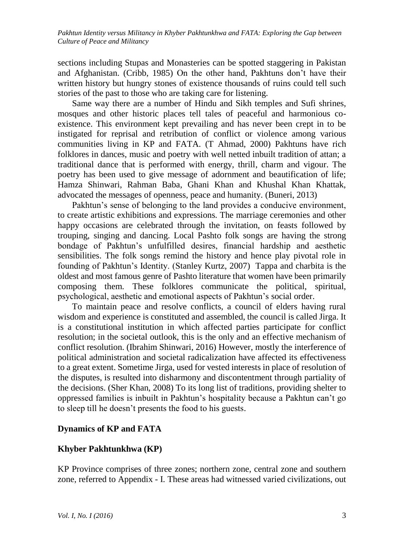sections including Stupas and Monasteries can be spotted staggering in Pakistan and Afghanistan. (Cribb, 1985) On the other hand, Pakhtuns don't have their written history but hungry stones of existence thousands of ruins could tell such stories of the past to those who are taking care for listening.

Same way there are a number of Hindu and Sikh temples and Sufi shrines, mosques and other historic places tell tales of peaceful and harmonious coexistence. This environment kept prevailing and has never been crept in to be instigated for reprisal and retribution of conflict or violence among various communities living in KP and FATA. (T Ahmad, 2000) Pakhtuns have rich folklores in dances, music and poetry with well netted inbuilt tradition of attan; a traditional dance that is performed with energy, thrill, charm and vigour. The poetry has been used to give message of adornment and beautification of life; Hamza Shinwari, Rahman Baba, Ghani Khan and Khushal Khan Khattak, advocated the messages of openness, peace and humanity. (Buneri, 2013)

Pakhtun's sense of belonging to the land provides a conducive environment, to create artistic exhibitions and expressions. The marriage ceremonies and other happy occasions are celebrated through the invitation, on feasts followed by trouping, singing and dancing. Local Pashto folk songs are having the strong bondage of Pakhtun's unfulfilled desires, financial hardship and aesthetic sensibilities. The folk songs remind the history and hence play pivotal role in founding of Pakhtun's Identity. (Stanley Kurtz, 2007) Tappa and charbita is the oldest and most famous genre of Pashto literature that women have been primarily composing them. These folklores communicate the political, spiritual, psychological, aesthetic and emotional aspects of Pakhtun's social order.

To maintain peace and resolve conflicts, a council of elders having rural wisdom and experience is constituted and assembled, the council is called Jirga. It is a constitutional institution in which affected parties participate for conflict resolution; in the societal outlook, this is the only and an effective mechanism of conflict resolution. (Ibrahim Shinwari, 2016) However, mostly the interference of political administration and societal radicalization have affected its effectiveness to a great extent. Sometime Jirga, used for vested interests in place of resolution of the disputes, is resulted into disharmony and discontentment through partiality of the decisions. (Sher Khan, 2008) To its long list of traditions, providing shelter to oppressed families is inbuilt in Pakhtun's hospitality because a Pakhtun can't go to sleep till he doesn't presents the food to his guests.

### **Dynamics of KP and FATA**

### **Khyber Pakhtunkhwa (KP)**

KP Province comprises of three zones; northern zone, central zone and southern zone, referred to Appendix - I. These areas had witnessed varied civilizations, out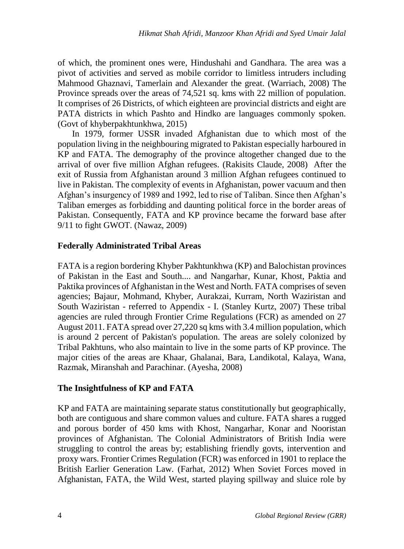of which, the prominent ones were, Hindushahi and Gandhara. The area was a pivot of activities and served as mobile corridor to limitless intruders including Mahmood Ghaznavi, Tamerlain and Alexander the great. (Warriach, 2008) The Province spreads over the areas of 74,521 sq. kms with 22 million of population. It comprises of 26 Districts, of which eighteen are provincial districts and eight are PATA districts in which Pashto and Hindko are languages commonly spoken. (Govt of khyberpakhtunkhwa, 2015)

In 1979, former USSR invaded Afghanistan due to which most of the population living in the neighbouring migrated to Pakistan especially harboured in KP and FATA. The demography of the province altogether changed due to the arrival of over five million Afghan refugees. (Rakisits Claude, 2008) After the exit of Russia from Afghanistan around 3 million Afghan refugees continued to live in Pakistan. The complexity of events in Afghanistan, power vacuum and then Afghan's insurgency of 1989 and 1992, led to rise of Taliban. Since then Afghan's Taliban emerges as forbidding and daunting political force in the border areas of Pakistan. Consequently, FATA and KP province became the forward base after 9/11 to fight GWOT. (Nawaz, 2009)

### **Federally Administrated Tribal Areas**

FATA is a region bordering Khyber Pakhtunkhwa (KP) and Balochistan provinces of Pakistan in the East and South.... and Nangarhar, Kunar, Khost, Paktia and Paktika provinces of Afghanistan in the West and North. FATA comprises of seven agencies; Bajaur, Mohmand, Khyber, Aurakzai, Kurram, North Waziristan and South Waziristan - referred to Appendix - I. (Stanley Kurtz, 2007) These tribal agencies are ruled through Frontier Crime Regulations (FCR) as amended on 27 August 2011. FATA spread over 27,220 sq kms with 3.4 million population, which is around 2 percent of Pakistan's population. The areas are solely colonized by Tribal Pakhtuns, who also maintain to live in the some parts of KP province. The major cities of the areas are Khaar, Ghalanai, Bara, Landikotal, Kalaya, Wana, Razmak, Miranshah and Parachinar. (Ayesha, 2008)

### **The Insightfulness of KP and FATA**

KP and FATA are maintaining separate status constitutionally but geographically, both are contiguous and share common values and culture. FATA shares a rugged and porous border of 450 kms with Khost, Nangarhar, Konar and Nooristan provinces of Afghanistan. The Colonial Administrators of British India were struggling to control the areas by; establishing friendly govts, intervention and proxy wars. Frontier Crimes Regulation (FCR) was enforced in 1901 to replace the British Earlier Generation Law. (Farhat, 2012) When Soviet Forces moved in Afghanistan, FATA, the Wild West, started playing spillway and sluice role by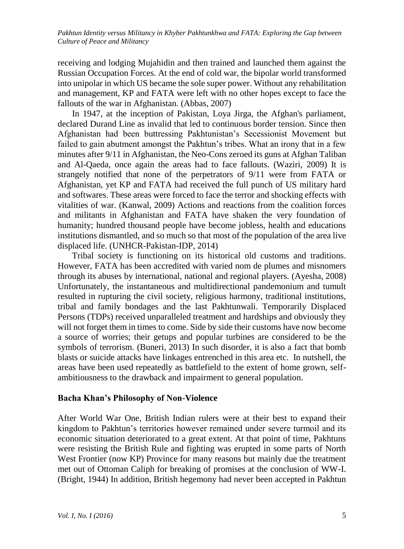receiving and lodging Mujahidin and then trained and launched them against the Russian Occupation Forces. At the end of cold war, the bipolar world transformed into unipolar in which US became the sole super power. Without any rehabilitation and management, KP and FATA were left with no other hopes except to face the fallouts of the war in Afghanistan. (Abbas, 2007)

In 1947, at the inception of Pakistan, Loya Jirga, the Afghan's parliament, declared Durand Line as invalid that led to continuous border tension. Since then Afghanistan had been buttressing Pakhtunistan's Secessionist Movement but failed to gain abutment amongst the Pakhtun's tribes. What an irony that in a few minutes after 9/11 in Afghanistan, the Neo-Cons zeroed its guns at Afghan Taliban and Al-Qaeda, once again the areas had to face fallouts. (Waziri, 2009) It is strangely notified that none of the perpetrators of 9/11 were from FATA or Afghanistan, yet KP and FATA had received the full punch of US military hard and softwares. These areas were forced to face the terror and shocking effects with vitalities of war. (Kanwal, 2009) Actions and reactions from the coalition forces and militants in Afghanistan and FATA have shaken the very foundation of humanity; hundred thousand people have become jobless, health and educations institutions dismantled, and so much so that most of the population of the area live displaced life. (UNHCR-Pakistan-IDP, 2014)

Tribal society is functioning on its historical old customs and traditions. However, FATA has been accredited with varied nom de plumes and misnomers through its abuses by international, national and regional players. (Ayesha, 2008) Unfortunately, the instantaneous and multidirectional pandemonium and tumult resulted in rupturing the civil society, religious harmony, traditional institutions, tribal and family bondages and the last Pakhtunwali. Temporarily Displaced Persons (TDPs) received unparalleled treatment and hardships and obviously they will not forget them in times to come. Side by side their customs have now become a source of worries; their getups and popular turbines are considered to be the symbols of terrorism. (Buneri, 2013) In such disorder, it is also a fact that bomb blasts or suicide attacks have linkages entrenched in this area etc. In nutshell, the areas have been used repeatedly as battlefield to the extent of home grown, selfambitiousness to the drawback and impairment to general population.

#### **Bacha Khan's Philosophy of Non-Violence**

After World War One, British Indian rulers were at their best to expand their kingdom to Pakhtun's territories however remained under severe turmoil and its economic situation deteriorated to a great extent. At that point of time, Pakhtuns were resisting the British Rule and fighting was erupted in some parts of North West Frontier (now KP) Province for many reasons but mainly due the treatment met out of Ottoman Caliph for breaking of promises at the conclusion of WW-I. (Bright, 1944) In addition, British hegemony had never been accepted in Pakhtun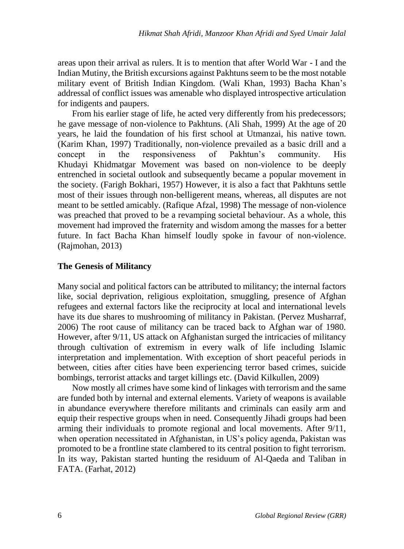areas upon their arrival as rulers. It is to mention that after World War - I and the Indian Mutiny, the British excursions against Pakhtuns seem to be the most notable military event of British Indian Kingdom. (Wali Khan, 1993) Bacha Khan's addressal of conflict issues was amenable who displayed introspective articulation for indigents and paupers.

From his earlier stage of life, he acted very differently from his predecessors; he gave message of non-violence to Pakhtuns. (Ali Shah, 1999) At the age of 20 years, he laid the foundation of his first school at Utmanzai, his native town. (Karim Khan, 1997) Traditionally, non-violence prevailed as a basic drill and a concept in the responsiveness of Pakhtun's community. His Khudayi Khidmatgar Movement was based on non-violence to be deeply entrenched in societal outlook and subsequently became a popular movement in the society. (Farigh Bokhari, 1957) However, it is also a fact that Pakhtuns settle most of their issues through non-belligerent means, whereas, all disputes are not meant to be settled amicably. (Rafique Afzal, 1998) The message of non-violence was preached that proved to be a revamping societal behaviour. As a whole, this movement had improved the fraternity and wisdom among the masses for a better future. In fact Bacha Khan himself loudly spoke in favour of non-violence. (Rajmohan, 2013)

### **The Genesis of Militancy**

Many social and political factors can be attributed to militancy; the internal factors like, social deprivation, religious exploitation, smuggling, presence of Afghan refugees and external factors like the reciprocity at local and international levels have its due shares to mushrooming of militancy in Pakistan. (Pervez Musharraf, 2006) The root cause of militancy can be traced back to Afghan war of 1980. However, after 9/11, US attack on Afghanistan surged the intricacies of militancy through cultivation of extremism in every walk of life including Islamic interpretation and implementation. With exception of short peaceful periods in between, cities after cities have been experiencing terror based crimes, suicide bombings, terrorist attacks and target killings etc. (David Kilkullen, 2009)

Now mostly all crimes have some kind of linkages with terrorism and the same are funded both by internal and external elements. Variety of weapons is available in abundance everywhere therefore militants and criminals can easily arm and equip their respective groups when in need. Consequently Jihadi groups had been arming their individuals to promote regional and local movements. After 9/11, when operation necessitated in Afghanistan, in US's policy agenda, Pakistan was promoted to be a frontline state clambered to its central position to fight terrorism. In its way, Pakistan started hunting the residuum of Al-Qaeda and Taliban in FATA. (Farhat, 2012)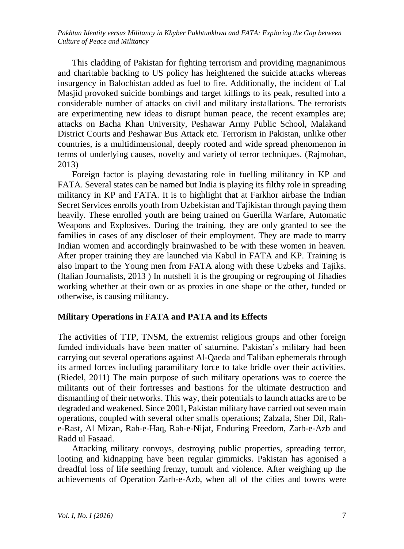This cladding of Pakistan for fighting terrorism and providing magnanimous and charitable backing to US policy has heightened the suicide attacks whereas insurgency in Balochistan added as fuel to fire. Additionally, the incident of Lal Masjid provoked suicide bombings and target killings to its peak, resulted into a considerable number of attacks on civil and military installations. The terrorists are experimenting new ideas to disrupt human peace, the recent examples are; attacks on Bacha Khan University, Peshawar Army Public School, Malakand District Courts and Peshawar Bus Attack etc. Terrorism in Pakistan, unlike other countries, is a multidimensional, deeply rooted and wide spread phenomenon in terms of underlying causes, novelty and variety of terror techniques. (Rajmohan, 2013)

Foreign factor is playing devastating role in fuelling militancy in KP and FATA. Several states can be named but India is playing its filthy role in spreading militancy in KP and FATA. It is to highlight that at Farkhor airbase the Indian Secret Services enrolls youth from Uzbekistan and Tajikistan through paying them heavily. These enrolled youth are being trained on Guerilla Warfare, Automatic Weapons and Explosives. During the training, they are only granted to see the families in cases of any discloser of their employment. They are made to marry Indian women and accordingly brainwashed to be with these women in heaven. After proper training they are launched via Kabul in FATA and KP. Training is also impart to the Young men from FATA along with these Uzbeks and Tajiks. (Italian Journalists, 2013 ) In nutshell it is the grouping or regrouping of Jihadies working whether at their own or as proxies in one shape or the other, funded or otherwise, is causing militancy.

#### **Military Operations in FATA and PATA and its Effects**

The activities of TTP, TNSM, the extremist religious groups and other foreign funded individuals have been matter of saturnine. Pakistan's military had been carrying out several operations against Al-Qaeda and Taliban ephemerals through its armed forces including paramilitary force to take bridle over their activities. (Riedel, 2011) The main purpose of such military operations was to coerce the militants out of their fortresses and bastions for the ultimate destruction and dismantling of their networks. This way, their potentials to launch attacks are to be degraded and weakened. Since 2001, Pakistan military have carried out seven main operations, coupled with several other smalls operations; Zalzala, Sher Dil, Rahe-Rast, Al Mizan, Rah-e-Haq, Rah-e-Nijat, Enduring Freedom, Zarb-e-Azb and Radd ul Fasaad.

Attacking military convoys, destroying public properties, spreading terror, looting and kidnapping have been regular gimmicks. Pakistan has agonised a dreadful loss of life seething frenzy, tumult and violence. After weighing up the achievements of Operation Zarb-e-Azb, when all of the cities and towns were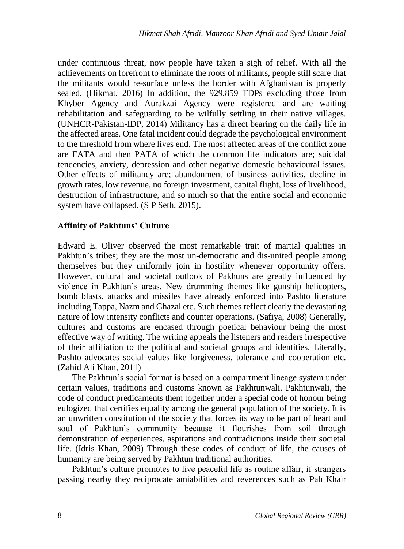under continuous threat, now people have taken a sigh of relief. With all the achievements on forefront to eliminate the roots of militants, people still scare that the militants would re-surface unless the border with Afghanistan is properly sealed. (Hikmat, 2016) In addition, the 929,859 TDPs excluding those from Khyber Agency and Aurakzai Agency were registered and are waiting rehabilitation and safeguarding to be wilfully settling in their native villages. (UNHCR-Pakistan-IDP, 2014) Militancy has a direct bearing on the daily life in the affected areas. One fatal incident could degrade the psychological environment to the threshold from where lives end. The most affected areas of the conflict zone are FATA and then PATA of which the common life indicators are; suicidal tendencies, anxiety, depression and other negative domestic behavioural issues. Other effects of militancy are; abandonment of business activities, decline in growth rates, low revenue, no foreign investment, capital flight, loss of livelihood, destruction of infrastructure, and so much so that the entire social and economic system have collapsed. (S P Seth, 2015).

### **Affinity of Pakhtuns' Culture**

Edward E. Oliver observed the most remarkable trait of martial qualities in Pakhtun's tribes; they are the most un-democratic and dis-united people among themselves but they uniformly join in hostility whenever opportunity offers. However, cultural and societal outlook of Pakhuns are greatly influenced by violence in Pakhtun's areas. New drumming themes like gunship helicopters, bomb blasts, attacks and missiles have already enforced into Pashto literature including Tappa, Nazm and Ghazal etc. Such themes reflect clearly the devastating nature of low intensity conflicts and counter operations. (Safiya, 2008) Generally, cultures and customs are encased through poetical behaviour being the most effective way of writing. The writing appeals the listeners and readers irrespective of their affiliation to the political and societal groups and identities. Literally, Pashto advocates social values like forgiveness, tolerance and cooperation etc. (Zahid Ali Khan, 2011)

The Pakhtun's social format is based on a compartment lineage system under certain values, traditions and customs known as Pakhtunwali. Pakhtunwali, the code of conduct predicaments them together under a special code of honour being eulogized that certifies equality among the general population of the society. It is an unwritten constitution of the society that forces its way to be part of heart and soul of Pakhtun's community because it flourishes from soil through demonstration of experiences, aspirations and contradictions inside their societal life. (Idris Khan, 2009) Through these codes of conduct of life, the causes of humanity are being served by Pakhtun traditional authorities.

Pakhtun's culture promotes to live peaceful life as routine affair; if strangers passing nearby they reciprocate amiabilities and reverences such as Pah Khair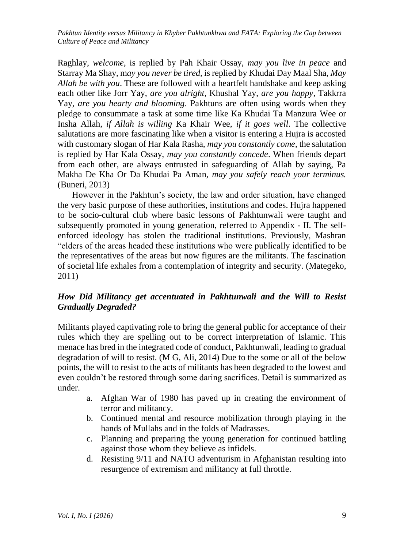Raghlay, *welcome*, is replied by Pah Khair Ossay, *may you live in peace* and Starray Ma Shay, m*ay you never be tired,* is replied by Khudai Day Maal Sha, *May Allah be with you*. These are followed with a heartfelt handshake and keep asking each other like Jorr Yay, *are you alright*, Khushal Yay, *are you happy*, Takkrra Yay, *are you hearty and blooming*. Pakhtuns are often using words when they pledge to consummate a task at some time like Ka Khudai Ta Manzura Wee or Insha Allah, *if Allah is willing* Ka Khair Wee, *if it goes well*. The collective salutations are more fascinating like when a visitor is entering a Hujra is accosted with customary slogan of Har Kala Rasha, *may you constantly come*, the salutation is replied by Har Kala Ossay, *may you constantly concede*. When friends depart from each other, are always entrusted in safeguarding of Allah by saying, Pa Makha De Kha Or Da Khudai Pa Aman, *may you safely reach your terminus.* (Buneri, 2013)

However in the Pakhtun's society, the law and order situation, have changed the very basic purpose of these authorities, institutions and codes. Hujra happened to be socio-cultural club where basic lessons of Pakhtunwali were taught and subsequently promoted in young generation, referred to Appendix - II. The selfenforced ideology has stolen the traditional institutions. Previously, Mashran "elders of the areas headed these institutions who were publically identified to be the representatives of the areas but now figures are the militants. The fascination of societal life exhales from a contemplation of integrity and security. (Mategeko, 2011)

### *How Did Militancy get accentuated in Pakhtunwali and the Will to Resist Gradually Degraded?*

Militants played captivating role to bring the general public for acceptance of their rules which they are spelling out to be correct interpretation of Islamic. This menace has bred in the integrated code of conduct, Pakhtunwali, leading to gradual degradation of will to resist. (M G, Ali, 2014) Due to the some or all of the below points, the will to resist to the acts of militants has been degraded to the lowest and even couldn't be restored through some daring sacrifices. Detail is summarized as under.

- a. Afghan War of 1980 has paved up in creating the environment of terror and militancy.
- b. Continued mental and resource mobilization through playing in the hands of Mullahs and in the folds of Madrasses.
- c. Planning and preparing the young generation for continued battling against those whom they believe as infidels.
- d. Resisting 9/11 and NATO adventurism in Afghanistan resulting into resurgence of extremism and militancy at full throttle.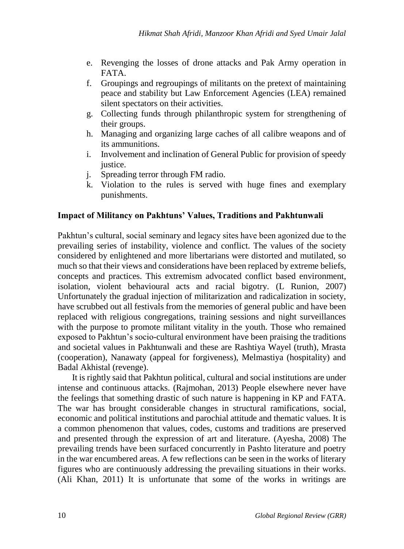- e. Revenging the losses of drone attacks and Pak Army operation in FATA.
- f. Groupings and regroupings of militants on the pretext of maintaining peace and stability but Law Enforcement Agencies (LEA) remained silent spectators on their activities.
- g. Collecting funds through philanthropic system for strengthening of their groups.
- h. Managing and organizing large caches of all calibre weapons and of its ammunitions.
- i. Involvement and inclination of General Public for provision of speedy justice.
- j. Spreading terror through FM radio.
- k. Violation to the rules is served with huge fines and exemplary punishments.

# **Impact of Militancy on Pakhtuns' Values, Traditions and Pakhtunwali**

Pakhtun's cultural, social seminary and legacy sites have been agonized due to the prevailing series of instability, violence and conflict. The values of the society considered by enlightened and more libertarians were distorted and mutilated, so much so that their views and considerations have been replaced by extreme beliefs, concepts and practices. This extremism advocated conflict based environment, isolation, violent behavioural acts and racial bigotry. (L Runion, 2007) Unfortunately the gradual injection of militarization and radicalization in society, have scrubbed out all festivals from the memories of general public and have been replaced with religious congregations, training sessions and night surveillances with the purpose to promote militant vitality in the youth. Those who remained exposed to Pakhtun's socio-cultural environment have been praising the traditions and societal values in Pakhtunwali and these are Rashtiya Wayel (truth), Mrasta (cooperation), Nanawaty (appeal for forgiveness), Melmastiya (hospitality) and Badal Akhistal (revenge).

It is rightly said that Pakhtun political, cultural and social institutions are under intense and continuous attacks. (Rajmohan, 2013) People elsewhere never have the feelings that something drastic of such nature is happening in KP and FATA. The war has brought considerable changes in structural ramifications, social, economic and political institutions and parochial attitude and thematic values. It is a common phenomenon that values, codes, customs and traditions are preserved and presented through the expression of art and literature. (Ayesha, 2008) The prevailing trends have been surfaced concurrently in Pashto literature and poetry in the war encumbered areas. A few reflections can be seen in the works of literary figures who are continuously addressing the prevailing situations in their works. (Ali Khan, 2011) It is unfortunate that some of the works in writings are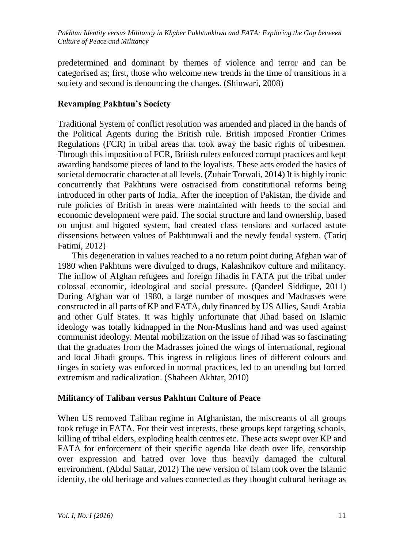predetermined and dominant by themes of violence and terror and can be categorised as; first, those who welcome new trends in the time of transitions in a society and second is denouncing the changes. (Shinwari, 2008)

### **Revamping Pakhtun's Society**

Traditional System of conflict resolution was amended and placed in the hands of the Political Agents during the British rule. British imposed Frontier Crimes Regulations (FCR) in tribal areas that took away the basic rights of tribesmen. Through this imposition of FCR, British rulers enforced corrupt practices and kept awarding handsome pieces of land to the loyalists. These acts eroded the basics of societal democratic character at all levels. (Zubair Torwali, 2014) It is highly ironic concurrently that Pakhtuns were ostracised from constitutional reforms being introduced in other parts of India. After the inception of Pakistan, the divide and rule policies of British in areas were maintained with heeds to the social and economic development were paid. The social structure and land ownership, based on unjust and bigoted system, had created class tensions and surfaced astute dissensions between values of Pakhtunwali and the newly feudal system. (Tariq Fatimi, 2012)

This degeneration in values reached to a no return point during Afghan war of 1980 when Pakhtuns were divulged to drugs, Kalashnikov culture and militancy. The inflow of Afghan refugees and foreign Jihadis in FATA put the tribal under colossal economic, ideological and social pressure. (Qandeel Siddique, 2011) During Afghan war of 1980, a large number of mosques and Madrasses were constructed in all parts of KP and FATA, duly financed by US Allies, Saudi Arabia and other Gulf States. It was highly unfortunate that Jihad based on Islamic ideology was totally kidnapped in the Non-Muslims hand and was used against communist ideology. Mental mobilization on the issue of Jihad was so fascinating that the graduates from the Madrasses joined the wings of international, regional and local Jihadi groups. This ingress in religious lines of different colours and tinges in society was enforced in normal practices, led to an unending but forced extremism and radicalization. (Shaheen Akhtar, 2010)

### **Militancy of Taliban versus Pakhtun Culture of Peace**

When US removed Taliban regime in Afghanistan, the miscreants of all groups took refuge in FATA. For their vest interests, these groups kept targeting schools, killing of tribal elders, exploding health centres etc. These acts swept over KP and FATA for enforcement of their specific agenda like death over life, censorship over expression and hatred over love thus heavily damaged the cultural environment. (Abdul Sattar, 2012) The new version of Islam took over the Islamic identity, the old heritage and values connected as they thought cultural heritage as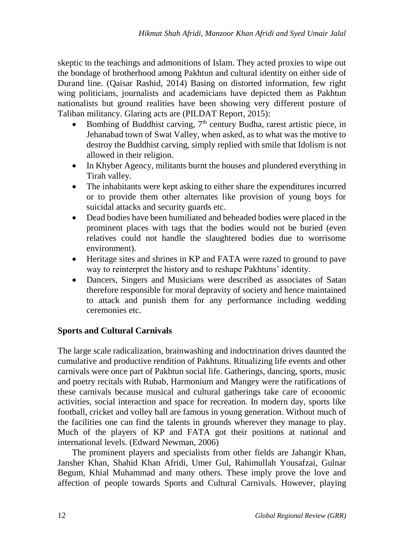skeptic to the teachings and admonitions of Islam. They acted proxies to wipe out the bondage of brotherhood among Pakhtun and cultural identity on either side of Durand line. (Qaisar Rashid, 2014) Basing on distorted information, few right wing politicians, journalists and academicians have depicted them as Pakhtun nationalists but ground realities have been showing very different posture of Taliban militancy. Glaring acts are (PILDAT Report, 2015):

- Bombing of Buddhist carving,  $7<sup>th</sup>$  century Budha, rarest artistic piece, in Jehanabad town of Swat Valley, when asked, as to what was the motive to destroy the Buddhist carving, simply replied with smile that Idolism is not allowed in their religion.
- In Khyber Agency, militants burnt the houses and plundered everything in Tirah valley.
- The inhabitants were kept asking to either share the expenditures incurred or to provide them other alternates like provision of young boys for suicidal attacks and security guards etc.
- Dead bodies have been humiliated and beheaded bodies were placed in the prominent places with tags that the bodies would not be buried (even relatives could not handle the slaughtered bodies due to worrisome environment).
- Heritage sites and shrines in KP and FATA were razed to ground to pave way to reinterpret the history and to reshape Pakhtuns' identity.
- Dancers, Singers and Musicians were described as associates of Satan therefore responsible for moral depravity of society and hence maintained to attack and punish them for any performance including wedding ceremonies etc.

# **Sports and Cultural Carnivals**

The large scale radicalization, brainwashing and indoctrination drives daunted the cumulative and productive rendition of Pakhtuns. Ritualizing life events and other carnivals were once part of Pakhtun social life. Gatherings, dancing, sports, music and poetry recitals with Rubab, Harmonium and Mangey were the ratifications of these carnivals because musical and cultural gatherings take care of economic activities, social interaction and space for recreation. In modern day, sports like football, cricket and volley ball are famous in young generation. Without much of the facilities one can find the talents in grounds wherever they manage to play. Much of the players of KP and FATA got their positions at national and international levels. (Edward Newman, 2006)

The prominent players and specialists from other fields are Jahangir Khan, Jansher Khan, Shahid Khan Afridi, Umer Gul, Rahimullah Yousafzai, Gulnar Begum, Khial Muhammad and many others. These imply prove the love and affection of people towards Sports and Cultural Carnivals. However, playing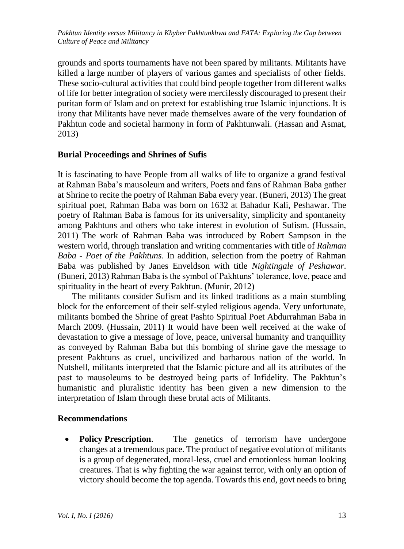grounds and sports tournaments have not been spared by militants. Militants have killed a large number of players of various games and specialists of other fields. These socio-cultural activities that could bind people together from different walks of life for better integration of society were mercilessly discouraged to present their puritan form of Islam and on pretext for establishing true Islamic injunctions. It is irony that Militants have never made themselves aware of the very foundation of Pakhtun code and societal harmony in form of Pakhtunwali. (Hassan and Asmat, 2013)

#### **Burial Proceedings and Shrines of Sufis**

It is fascinating to have People from all walks of life to organize a grand festival at Rahman Baba's mausoleum and writers, Poets and fans of Rahman Baba gather at Shrine to recite the poetry of Rahman Baba every year. (Buneri, 2013) The great spiritual poet, Rahman Baba was born on 1632 at Bahadur Kali, Peshawar. The poetry of Rahman Baba is famous for its universality, simplicity and spontaneity among Pakhtuns and others who take interest in evolution of Sufism. (Hussain, 2011) The work of Rahman Baba was introduced by Robert Sampson in the western world, through translation and writing commentaries with title of *Rahman Baba - Poet of the Pakhtuns*. In addition, selection from the poetry of Rahman Baba was published by Janes Enveldson with title *Nightingale of Peshawar*. (Buneri, 2013) Rahman Baba is the symbol of Pakhtuns' tolerance, love, peace and spirituality in the heart of every Pakhtun. (Munir, 2012)

The militants consider Sufism and its linked traditions as a main stumbling block for the enforcement of their self-styled religious agenda. Very unfortunate, militants bombed the Shrine of great Pashto Spiritual Poet Abdurrahman Baba in March 2009. (Hussain, 2011) It would have been well received at the wake of devastation to give a message of love, peace, universal humanity and tranquillity as conveyed by Rahman Baba but this bombing of shrine gave the message to present Pakhtuns as cruel, uncivilized and barbarous nation of the world. In Nutshell, militants interpreted that the Islamic picture and all its attributes of the past to mausoleums to be destroyed being parts of Infidelity. The Pakhtun's humanistic and pluralistic identity has been given a new dimension to the interpretation of Islam through these brutal acts of Militants.

#### **Recommendations**

• **Policy Prescription**. The genetics of terrorism have undergone changes at a tremendous pace. The product of negative evolution of militants is a group of degenerated, moral-less, cruel and emotionless human looking creatures. That is why fighting the war against terror, with only an option of victory should become the top agenda. Towards this end, govt needs to bring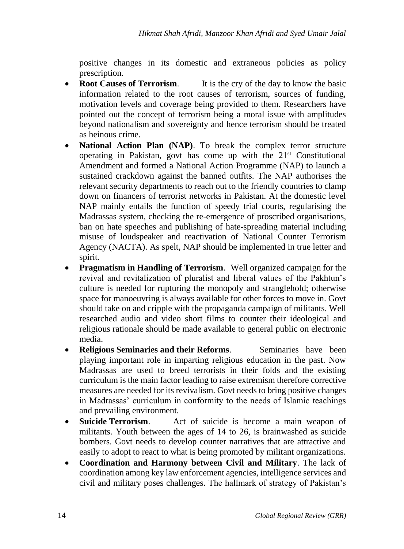positive changes in its domestic and extraneous policies as policy prescription.

- **Root Causes of Terrorism.** It is the cry of the day to know the basic information related to the root causes of terrorism, sources of funding, motivation levels and coverage being provided to them. Researchers have pointed out the concept of terrorism being a moral issue with amplitudes beyond nationalism and sovereignty and hence terrorism should be treated as heinous crime.
- **National Action Plan (NAP)**. To break the complex terror structure operating in Pakistan, govt has come up with the 21st Constitutional Amendment and formed a National Action Programme (NAP) to launch a sustained crackdown against the banned outfits. The NAP authorises the relevant security departments to reach out to the friendly countries to clamp down on financers of terrorist networks in Pakistan. At the domestic level NAP mainly entails the function of speedy trial courts, regularising the Madrassas system, checking the re-emergence of proscribed organisations, ban on hate speeches and publishing of hate-spreading material including misuse of loudspeaker and reactivation of National Counter Terrorism Agency (NACTA). As spelt, NAP should be implemented in true letter and spirit.
- **Pragmatism in Handling of Terrorism**. Well organized campaign for the revival and revitalization of pluralist and liberal values of the Pakhtun's culture is needed for rupturing the monopoly and stranglehold; otherwise space for manoeuvring is always available for other forces to move in. Govt should take on and cripple with the propaganda campaign of militants. Well researched audio and video short films to counter their ideological and religious rationale should be made available to general public on electronic media.
- **Religious Seminaries and their Reforms.** Seminaries have been playing important role in imparting religious education in the past. Now Madrassas are used to breed terrorists in their folds and the existing curriculum is the main factor leading to raise extremism therefore corrective measures are needed for its revivalism. Govt needs to bring positive changes in Madrassas' curriculum in conformity to the needs of Islamic teachings and prevailing environment.
- **Suicide Terrorism**. Act of suicide is become a main weapon of militants. Youth between the ages of 14 to 26, is brainwashed as suicide bombers. Govt needs to develop counter narratives that are attractive and easily to adopt to react to what is being promoted by militant organizations.
- **Coordination and Harmony between Civil and Military**. The lack of coordination among key law enforcement agencies, intelligence services and civil and military poses challenges. The hallmark of strategy of Pakistan's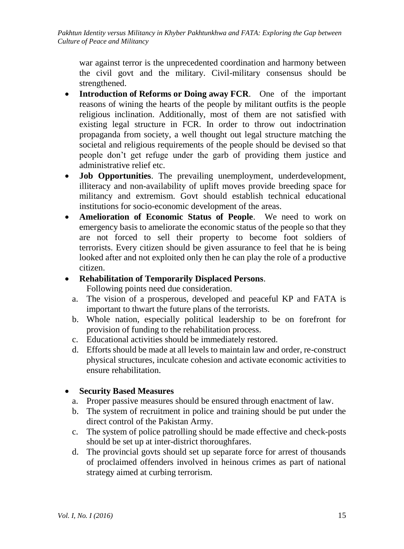war against terror is the unprecedented coordination and harmony between the civil govt and the military. Civil-military consensus should be strengthened.

- **Introduction of Reforms or Doing away FCR**. One of the important reasons of wining the hearts of the people by militant outfits is the people religious inclination. Additionally, most of them are not satisfied with existing legal structure in FCR. In order to throw out indoctrination propaganda from society, a well thought out legal structure matching the societal and religious requirements of the people should be devised so that people don't get refuge under the garb of providing them justice and administrative relief etc.
- **Job Opportunities**. The prevailing unemployment, underdevelopment, illiteracy and non-availability of uplift moves provide breeding space for militancy and extremism. Govt should establish technical educational institutions for socio-economic development of the areas.
- **Amelioration of Economic Status of People**. We need to work on emergency basis to ameliorate the economic status of the people so that they are not forced to sell their property to become foot soldiers of terrorists. Every citizen should be given assurance to feel that he is being looked after and not exploited only then he can play the role of a productive citizen.

### **Rehabilitation of Temporarily Displaced Persons**.

Following points need due consideration.

- a. The vision of a prosperous, developed and peaceful KP and FATA is important to thwart the future plans of the terrorists.
- b. Whole nation, especially political leadership to be on forefront for provision of funding to the rehabilitation process.
- c. Educational activities should be immediately restored.
- d. Efforts should be made at all levels to maintain law and order, re-construct physical structures, inculcate cohesion and activate economic activities to ensure rehabilitation.

# **Security Based Measures**

- a. Proper passive measures should be ensured through enactment of law.
- b. The system of recruitment in police and training should be put under the direct control of the Pakistan Army.
- c. The system of police patrolling should be made effective and check-posts should be set up at inter-district thoroughfares.
- d. The provincial govts should set up separate force for arrest of thousands of proclaimed offenders involved in heinous crimes as part of national strategy aimed at curbing terrorism.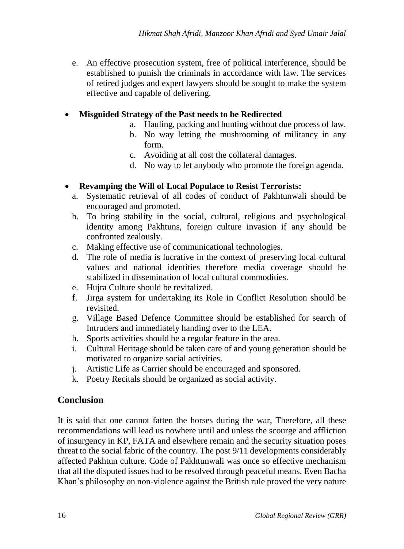e. An effective prosecution system, free of political interference, should be established to punish the criminals in accordance with law. The services of retired judges and expert lawyers should be sought to make the system effective and capable of delivering.

## **Misguided Strategy of the Past needs to be Redirected**

- a. Hauling, packing and hunting without due process of law.
- b. No way letting the mushrooming of militancy in any form.
- c. Avoiding at all cost the collateral damages.
- d. No way to let anybody who promote the foreign agenda.

# **Revamping the Will of Local Populace to Resist Terrorists:**

- a. Systematic retrieval of all codes of conduct of Pakhtunwali should be encouraged and promoted.
- b. To bring stability in the social, cultural, religious and psychological identity among Pakhtuns, foreign culture invasion if any should be confronted zealously.
- c. Making effective use of communicational technologies.
- d. The role of media is lucrative in the context of preserving local cultural values and national identities therefore media coverage should be stabilized in dissemination of local cultural commodities.
- e. Hujra Culture should be revitalized.
- f. Jirga system for undertaking its Role in Conflict Resolution should be revisited.
- g. Village Based Defence Committee should be established for search of Intruders and immediately handing over to the LEA.
- h. Sports activities should be a regular feature in the area.
- i. Cultural Heritage should be taken care of and young generation should be motivated to organize social activities.
- j. Artistic Life as Carrier should be encouraged and sponsored.
- k. Poetry Recitals should be organized as social activity.

# **Conclusion**

It is said that one cannot fatten the horses during the war, Therefore, all these recommendations will lead us nowhere until and unless the scourge and affliction of insurgency in KP, FATA and elsewhere remain and the security situation poses threat to the social fabric of the country. The post 9/11 developments considerably affected Pakhtun culture. Code of Pakhtunwali was once so effective mechanism that all the disputed issues had to be resolved through peaceful means. Even Bacha Khan's philosophy on non-violence against the British rule proved the very nature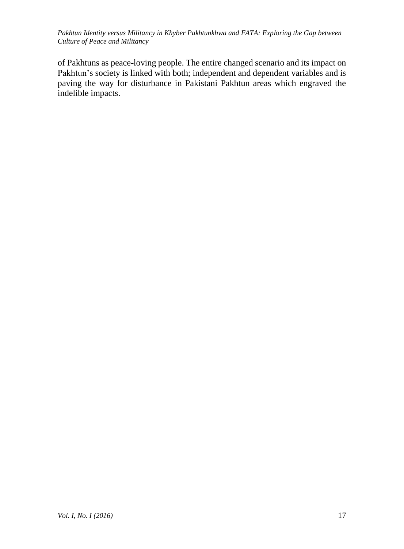of Pakhtuns as peace-loving people. The entire changed scenario and its impact on Pakhtun's society is linked with both; independent and dependent variables and is paving the way for disturbance in Pakistani Pakhtun areas which engraved the indelible impacts.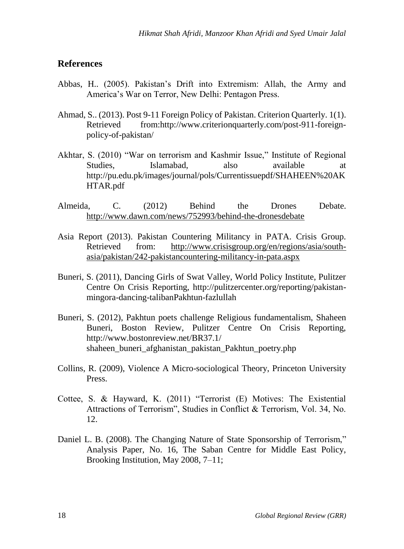### **References**

- Abbas, H.. (2005). Pakistan's Drift into Extremism: Allah, the Army and America's War on Terror, New Delhi: Pentagon Press.
- Ahmad, S.. (2013). Post 9-11 Foreign Policy of Pakistan. Criterion Quarterly. 1(1). Retrieved from:http://www.criterionquarterly.com/post-911-foreignpolicy-of-pakistan/
- Akhtar, S. (2010) "War on terrorism and Kashmir Issue," Institute of Regional Studies, Islamabad, also available at http://pu.edu.pk/images/journal/pols/Currentissuepdf/SHAHEEN%20AK HTAR.pdf
- Almeida, C. (2012) Behind the Drones Debate. <http://www.dawn.com/news/752993/behind-the-dronesdebate>
- Asia Report (2013). Pakistan Countering Militancy in PATA. Crisis Group. Retrieved from: [http://www.crisisgroup.org/en/regions/asia/south](http://www.crisisgroup.org/en/regions/asia/south-asia/pakistan/242-pakistancountering-militancy-in-pata.aspx)[asia/pakistan/242-pakistancountering-militancy-in-pata.aspx](http://www.crisisgroup.org/en/regions/asia/south-asia/pakistan/242-pakistancountering-militancy-in-pata.aspx)
- Buneri, S. (2011), Dancing Girls of Swat Valley, World Policy Institute, Pulitzer Centre On Crisis Reporting, http://pulitzercenter.org/reporting/pakistanmingora-dancing-talibanPakhtun-fazlullah
- Buneri, S. (2012), Pakhtun poets challenge Religious fundamentalism, Shaheen Buneri, Boston Review, Pulitzer Centre On Crisis Reporting, http://www.bostonreview.net/BR37.1/ shaheen\_buneri\_afghanistan\_pakistan\_Pakhtun\_poetry.php
- Collins, R. (2009), Violence A Micro-sociological Theory, Princeton University Press.
- Cottee, S. & Hayward, K. (2011) "Terrorist (E) Motives: The Existential Attractions of Terrorism", Studies in Conflict & Terrorism, Vol. 34, No. 12.
- Daniel L. B. (2008). The Changing Nature of State Sponsorship of Terrorism," Analysis Paper, No. 16, The Saban Centre for Middle East Policy, Brooking Institution, May 2008, 7–11;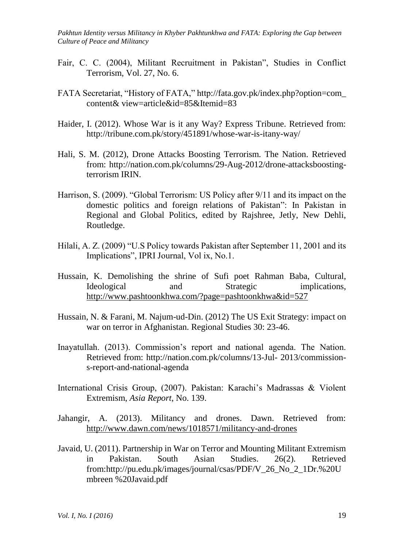- Fair, C. C. (2004), Militant Recruitment in Pakistan", Studies in Conflict Terrorism, Vol. 27, No. 6.
- FATA Secretariat, "History of FATA," http://fata.gov.pk/index.php?option=com\_ content& view=article&id=85&Itemid=83
- Haider, I. (2012). Whose War is it any Way? Express Tribune. Retrieved from: http://tribune.com.pk/story/451891/whose-war-is-itany-way/
- Hali, S. M. (2012), Drone Attacks Boosting Terrorism. The Nation. Retrieved from: http://nation.com.pk/columns/29-Aug-2012/drone-attacksboostingterrorism IRIN.
- Harrison, S. (2009). "Global Terrorism: US Policy after 9/11 and its impact on the domestic politics and foreign relations of Pakistan": In Pakistan in Regional and Global Politics, edited by Rajshree, Jetly, New Dehli, Routledge.
- Hilali, A. Z. (2009) "U.S Policy towards Pakistan after September 11, 2001 and its Implications", IPRI Journal, Vol ix, No.1.
- Hussain, K. Demolishing the shrine of Sufi poet Rahman Baba, Cultural, Ideological and Strategic implications, <http://www.pashtoonkhwa.com/?page=pashtoonkhwa&id=527>
- Hussain, N. & Farani, M. Najum-ud-Din. (2012) The US Exit Strategy: impact on war on terror in Afghanistan. Regional Studies 30: 23-46.
- Inayatullah. (2013). Commission's report and national agenda. The Nation. Retrieved from: http://nation.com.pk/columns/13-Jul- 2013/commissions-report-and-national-agenda
- International Crisis Group, (2007). Pakistan: Karachi's Madrassas & Violent Extremism, *Asia Report*, No. 139.
- Jahangir, A. (2013). Militancy and drones. Dawn. Retrieved from: <http://www.dawn.com/news/1018571/militancy-and-drones>
- Javaid, U. (2011). Partnership in War on Terror and Mounting Militant Extremism in Pakistan. South Asian Studies. 26(2). Retrieved from:http://pu.edu.pk/images/journal/csas/PDF/V\_26\_No\_2\_1Dr.%20U mbreen %20Javaid.pdf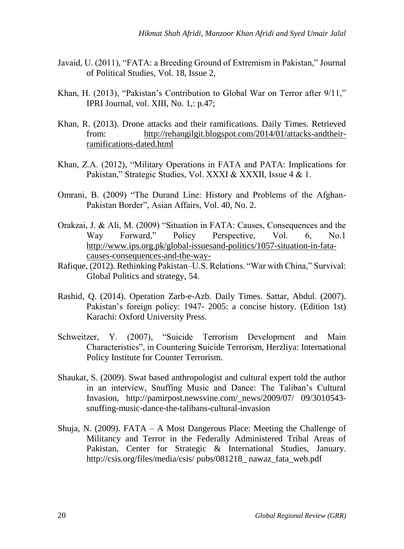- Javaid, U. (2011), "FATA: a Breeding Ground of Extremism in Pakistan," Journal of Political Studies, Vol. 18, Issue 2,
- Khan, H. (2013), "Pakistan's Contribution to Global War on Terror after 9/11," IPRI Journal, vol. XIII, No. 1,: p.47;
- Khan, R. (2013). Drone attacks and their ramifications. Daily Times. Retrieved from: [http://rehangilgit.blogspot.com/2014/01/attacks-andtheir](http://rehangilgit.blogspot.com/2014/01/attacks-andtheir-ramifications-dated.html)[ramifications-dated.html](http://rehangilgit.blogspot.com/2014/01/attacks-andtheir-ramifications-dated.html)
- Khan, Z.A. (2012), "Military Operations in FATA and PATA: Implications for Pakistan," Strategic Studies, Vol. XXXI & XXXII, Issue 4 & 1.
- Omrani, B. (2009) "The Durand Line: History and Problems of the Afghan-Pakistan Border", Asian Affairs, Vol. 40, No. 2.
- Orakzai, J. & Ali, M. (2009) "Situation in FATA: Causes, Consequences and the Way Forward," Policy Perspective, Vol. 6, No.1 [http://www.ips.org.pk/global-issuesand-politics/1057-situation-in-fata](http://www.ips.org.pk/global-issuesand-politics/1057-situation-in-fata-causes-consequences-and-the-way-)[causes-consequences-and-the-way-](http://www.ips.org.pk/global-issuesand-politics/1057-situation-in-fata-causes-consequences-and-the-way-)
- Rafique, (2012). Rethinking Pakistan–U.S. Relations. "War with China," Survival: Global Politics and strategy, 54.
- Rashid, Q. (2014). Operation Zarb-e-Azb. Daily Times. Sattar, Abdul. (2007). Pakistan's foreign policy: 1947- 2005: a concise history. (Edition 1st) Karachi: Oxford University Press.
- Schweitzer, Y. (2007), "Suicide Terrorism Development and Main Characteristics", in Countering Suicide Terrorism, Herzliya: International Policy Institute for Counter Terrorism.
- Shaukat, S. (2009). Swat based anthropologist and cultural expert told the author in an interview, Snuffing Music and Dance: The Taliban's Cultural Invasion, http://pamirpost.newsvine.com/\_news/2009/07/ 09/3010543 snuffing-music-dance-the-talibans-cultural-invasion
- Shuja, N. (2009). FATA A Most Dangerous Place: Meeting the Challenge of Militancy and Terror in the Federally Administered Tribal Areas of Pakistan, Center for Strategic & International Studies, January. http://csis.org/files/media/csis/ pubs/081218\_ nawaz\_fata\_web.pdf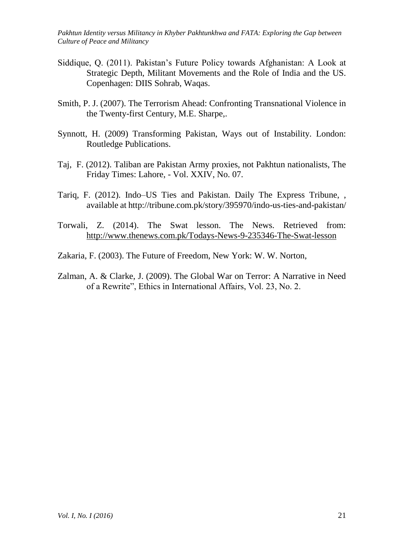- Siddique, Q. (2011). Pakistan's Future Policy towards Afghanistan: A Look at Strategic Depth, Militant Movements and the Role of India and the US. Copenhagen: DIIS Sohrab, Waqas.
- Smith, P. J. (2007). The Terrorism Ahead: Confronting Transnational Violence in the Twenty-first Century, M.E. Sharpe,.
- Synnott, H. (2009) Transforming Pakistan, Ways out of Instability. London: Routledge Publications.
- Taj, F. (2012). Taliban are Pakistan Army proxies, not Pakhtun nationalists, The Friday Times: Lahore, - Vol. XXIV, No. 07.
- Tariq, F. (2012). Indo–US Ties and Pakistan. Daily The Express Tribune, , available at http://tribune.com.pk/story/395970/indo-us-ties-and-pakistan/
- Torwali, Z. (2014). The Swat lesson. The News. Retrieved from: <http://www.thenews.com.pk/Todays-News-9-235346-The-Swat-lesson>
- Zakaria, F. (2003). The Future of Freedom, New York: W. W. Norton,
- Zalman, A. & Clarke, J. (2009). The Global War on Terror: A Narrative in Need of a Rewrite", Ethics in International Affairs, Vol. 23, No. 2.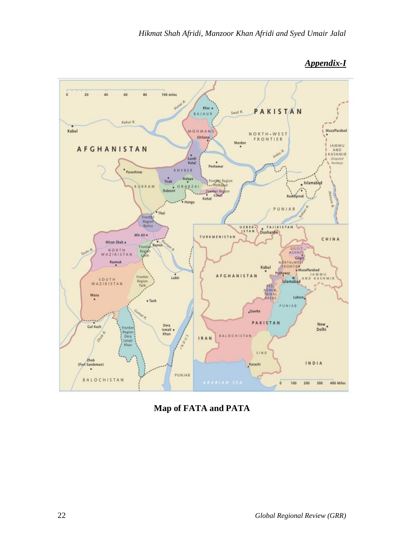

# *Appendix-I*

**Map of FATA and PATA**